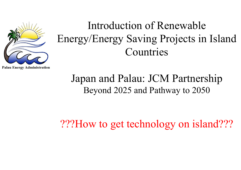

# Introduction of Renewable Energy/Energy Saving Projects in Island Countries

Japan and Palau: JCM Partnership Beyond 2025 and Pathway to 2050

???How to get technology on island???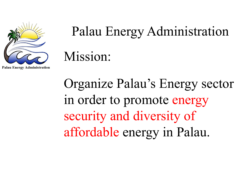

# Palau Energy Administration Mission:

Organize Palau's Energy sector in order to promote energy security and diversity of affordable energy in Palau.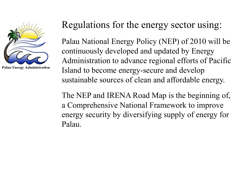

#### Regulations for the energy sector using:

Palau National Energy Policy (NEP) of 2010 will be continuously developed and updated by Energy Administration to advance regional efforts of Pacific Island to become energy-secure and develop sustainable sources of clean and affordable energy.

The NEP and IRENA Road Map is the beginning of, a Comprehensive National Framework to improve energy security by diversifying supply of energy for Palau.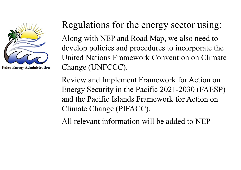

#### Regulations for the energy sector using:

Along with NEP and Road Map, we also need to develop policies and procedures to incorporate the United Nations Framework Convention on Climate Change (UNFCCC).

Review and Implement Framework for Action on Energy Security in the Pacific 2021-2030 (FAESP) and the Pacific Islands Framework for Action on Climate Change (PIFACC).

All relevant information will be added to NEP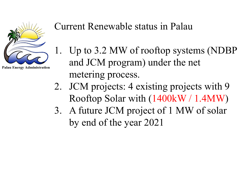

**Palau Energy Administration** 

#### Current Renewable status in Palau

- 1. Up to 3.2 MW of rooftop systems (NDBP and JCM program) under the net metering process.
- 2. JCM projects: 4 existing projects with 9 Rooftop Solar with (1400kW / 1.4MW )
- 3. A future JCM project of 1 MW of solar by end of the year 2021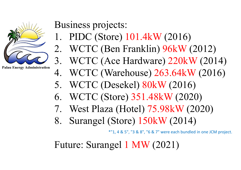

**Palau Energy Administration** 

Business projects:

- 1. PIDC (Store) 101.4kW (2016)
- 2. WCTC (Ben Franklin) 96kW (2012)
- 3. WCTC (Ace Hardware) 220kW (2014)
- 4. WCTC (Warehouse) 263.64kW (2016)
- 5. WCTC (Desekel) 80kW (2016)
- 6. WCTC (Store) 351.48kW (2020)
- 7. West Plaza (Hotel) 75.98kW (2020)
- 8. Surangel (Store) 150kW (2014)

\*"1, 4 & 5", "3 & 8", "6 & 7" were each bundled in one JCM project.

Future: Surangel 1 MW (2021)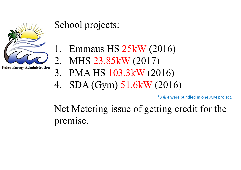

**Palau Energy Administration** 

### School projects:

- 1. Emmaus HS 25kW (2016)
- 2. MHS 23.85kW (2017)
- 3. PMA HS 103.3kW (2016)
- 4. SDA (Gym) 51.6kW (2016)

\*3 & 4 were bundled in one JCM project.

Net Metering issue of getting credit for the premise.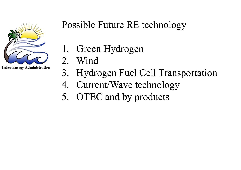

**Palau Energy Administration** 

## Possible Future RE technology

- 1. Green Hydrogen
- 2. Wind
- 3. Hydrogen Fuel Cell Transportation
- 4. Current/Wave technology
- 5. OTEC and by products